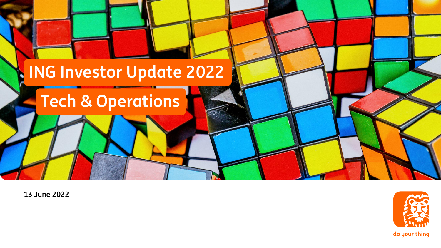

**13 June 2022**



do your thing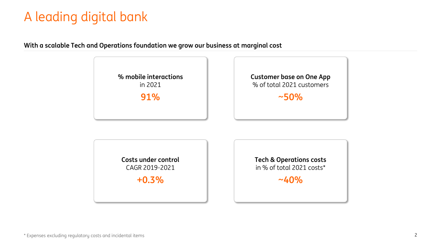# A leading digital bank

#### **With a scalable Tech and Operations foundation we grow our business at marginal cost**

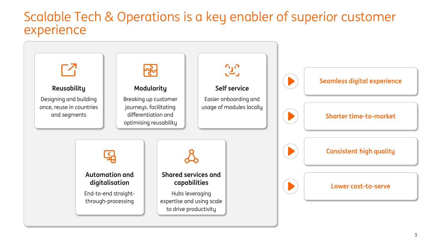#### Scalable Tech & Operations is a key enabler of superior customer experience

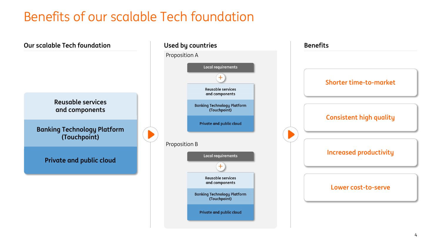# Benefits of our scalable Tech foundation

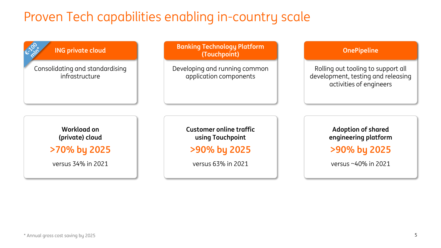# Proven Tech capabilities enabling in-country scale

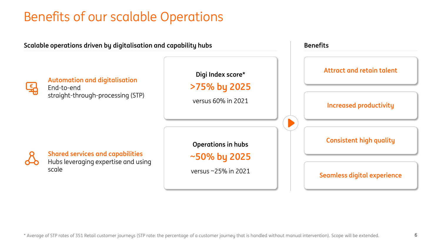# Benefits of our scalable Operations

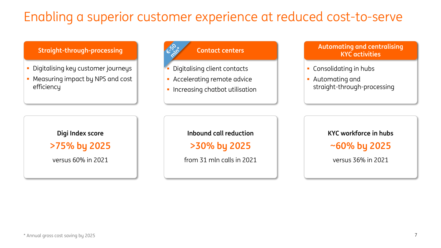# Enabling a superior customer experience at reduced cost-to-serve

**Straight-through-processing** 

- **·** Digitalising key customer journeys
- **Measuring impact by NPS and cost** efficiency



- Digitalising client contacts
- **Accelerating remote advice**
- **·** Increasing chatbot utilisation

#### **Automating and centralising KYC activities**

- Consolidating in hubs
- Automating and straight-through-processing

**Digi Index score >75% by 2025**

versus 60% in 2021

**Inbound call reduction**

**>30% by 2025**

from 31 mln calls in 2021

**KYC workforce in hubs ~60% by 2025**

versus 36% in 2021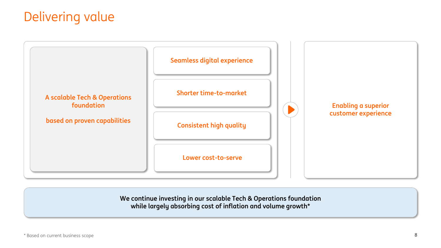### Delivering value



**We continue investing in our scalable Tech & Operations foundation while largely absorbing cost of inflation and volume growth\***